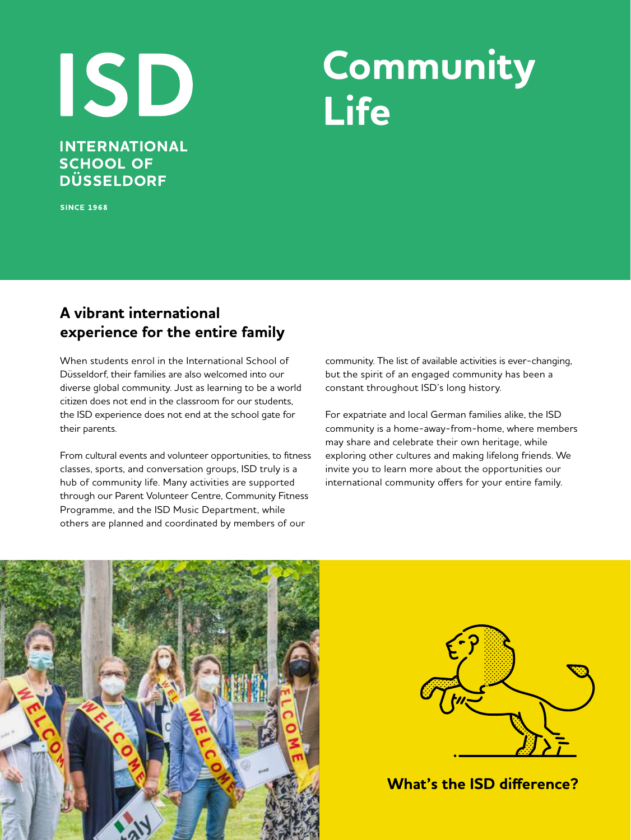# ISD **INTERNATIONAL**

## **Community Life**

**SINCE 1968** 

**SCHOOL OF DÜSSELDORF** 

## **A vibrant international experience for the entire family**

When students enrol in the International School of Düsseldorf, their families are also welcomed into our diverse global community. Just as learning to be a world citizen does not end in the classroom for our students, the ISD experience does not end at the school gate for their parents.

From cultural events and volunteer opportunities, to fitness classes, sports, and conversation groups, ISD truly is a hub of community life. Many activities are supported through our Parent Volunteer Centre, Community Fitness Programme, and the ISD Music Department, while others are planned and coordinated by members of our

community. The list of available activities is ever-changing, but the spirit of an engaged community has been a constant throughout ISD's long history.

For expatriate and local German families alike, the ISD community is a home-away-from-home, where members may share and celebrate their own heritage, while exploring other cultures and making lifelong friends. We invite you to learn more about the opportunities our international community offers for your entire family.





**What's the ISD difference?**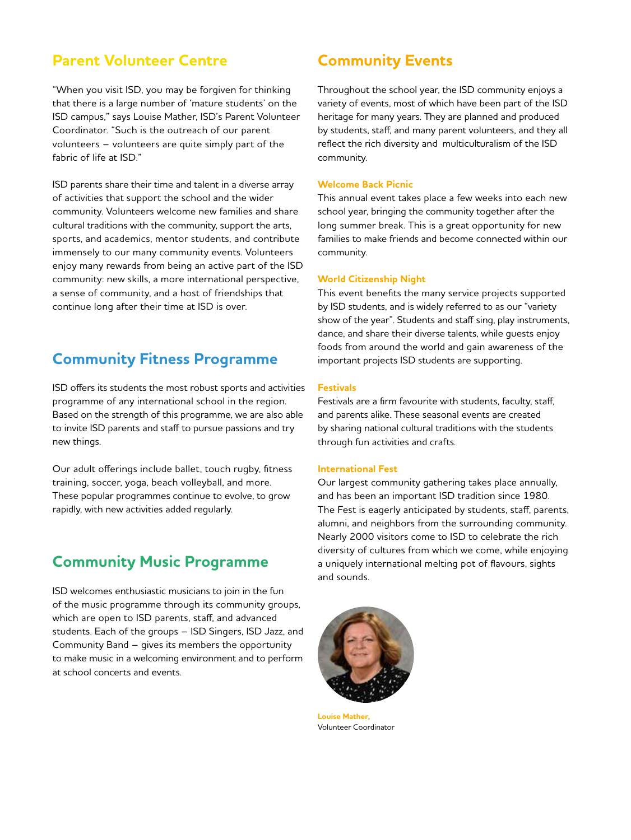## **Parent Volunteer Centre <b>Community Events**

"When you visit ISD, you may be forgiven for thinking that there is a large number of 'mature students' on the ISD campus," says Louise Mather, ISD's Parent Volunteer Coordinator. "Such is the outreach of our parent volunteers – volunteers are quite simply part of the fabric of life at ISD."

ISD parents share their time and talent in a diverse array of activities that support the school and the wider community. Volunteers welcome new families and share cultural traditions with the community, support the arts, sports, and academics, mentor students, and contribute immensely to our many community events. Volunteers enjoy many rewards from being an active part of the ISD community: new skills, a more international perspective, a sense of community, and a host of friendships that continue long after their time at ISD is over.

### **Community Fitness Programme**

ISD offers its students the most robust sports and activities programme of any international school in the region. Based on the strength of this programme, we are also able to invite ISD parents and staff to pursue passions and try new things.

Our adult offerings include ballet, touch rugby, fitness training, soccer, yoga, beach volleyball, and more. These popular programmes continue to evolve, to grow rapidly, with new activities added regularly.

## **Community Music Programme**

ISD welcomes enthusiastic musicians to join in the fun of the music programme through its community groups, which are open to ISD parents, staff, and advanced students. Each of the groups – ISD Singers, ISD Jazz, and Community Band – gives its members the opportunity to make music in a welcoming environment and to perform at school concerts and events.

Throughout the school year, the ISD community enjoys a variety of events, most of which have been part of the ISD heritage for many years. They are planned and produced by students, staff, and many parent volunteers, and they all reflect the rich diversity and multiculturalism of the ISD community.

#### **Welcome Back Picnic**

This annual event takes place a few weeks into each new school year, bringing the community together after the long summer break. This is a great opportunity for new families to make friends and become connected within our community.

#### **World Citizenship Night**

This event benefits the many service projects supported by ISD students, and is widely referred to as our "variety show of the year". Students and staff sing, play instruments, dance, and share their diverse talents, while guests enjoy foods from around the world and gain awareness of the important projects ISD students are supporting.

#### **Festivals**

Festivals are a firm favourite with students, faculty, staff, and parents alike. These seasonal events are created by sharing national cultural traditions with the students through fun activities and crafts.

#### **International Fest**

Our largest community gathering takes place annually, and has been an important ISD tradition since 1980. The Fest is eagerly anticipated by students, staff, parents, alumni, and neighbors from the surrounding community. Nearly 2000 visitors come to ISD to celebrate the rich diversity of cultures from which we come, while enjoying a uniquely international melting pot of flavours, sights and sounds.



**Louise Mather,** Volunteer Coordinator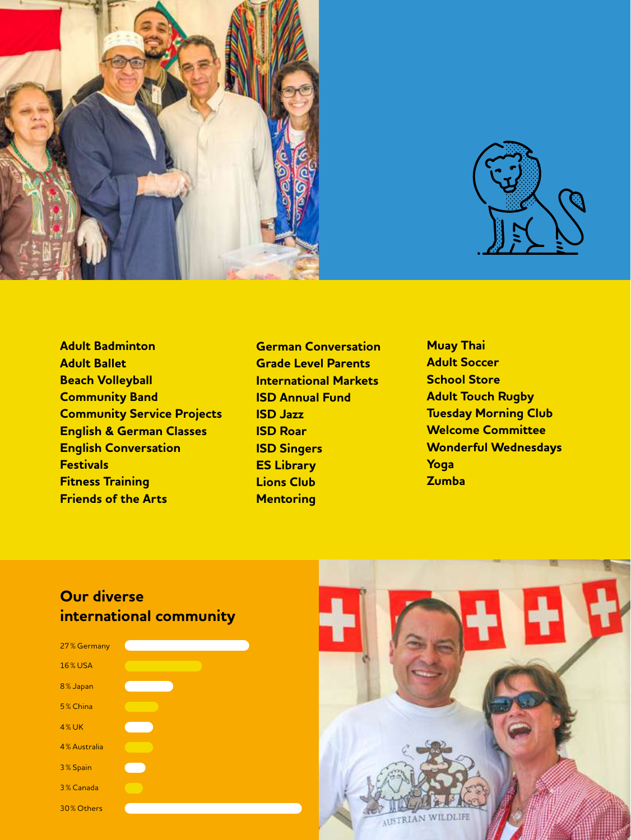



- **Adult Badminton Adult Ballet Beach Volleyball Community Band Community Service Projects English & German Classes English Conversation Festivals Fitness Training Friends of the Arts**
- **German Conversation Grade Level Parents International Markets ISD Annual Fund ISD Jazz ISD Roar ISD Singers ES Library Lions Club Mentoring**
- **Muay Thai Adult Soccer School Store Adult Touch Rugby Tuesday Morning Club Welcome Committee Wonderful Wednesdays Yoga Zumba**

## **Our diverse international community**